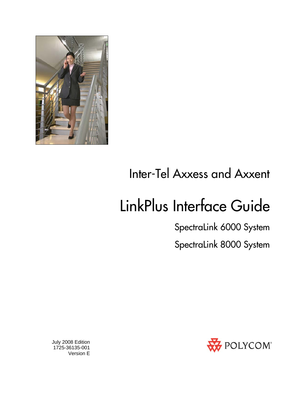

# Inter-Tel Axxess and Axxent

# LinkPlus Interface Guide

SpectraLink 6000 System SpectraLink 8000 System



 July 2008 Edition 1725-36135-001 Version E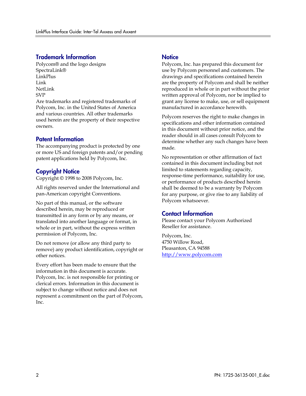#### Trademark Information

Polycom® and the logo designs SpectraLink® LinkPlus Link NetLink SVP

Are trademarks and registered trademarks of Polycom, Inc. in the United States of America and various countries. All other trademarks used herein are the property of their respective owners.

#### Patent Information

The accompanying product is protected by one or more US and foreign patents and/or pending patent applications held by Polycom, Inc.

#### Copyright Notice

Copyright © 1998 to 2008 Polycom, Inc.

All rights reserved under the International and pan-American copyright Conventions.

No part of this manual, or the software described herein, may be reproduced or transmitted in any form or by any means, or translated into another language or format, in whole or in part, without the express written permission of Polycom, Inc.

Do not remove (or allow any third party to remove) any product identification, copyright or other notices.

Every effort has been made to ensure that the information in this document is accurate. Polycom, Inc. is not responsible for printing or clerical errors. Information in this document is subject to change without notice and does not represent a commitment on the part of Polycom, Inc.

#### **Notice**

Polycom, Inc. has prepared this document for use by Polycom personnel and customers. The drawings and specifications contained herein are the property of Polycom and shall be neither reproduced in whole or in part without the prior written approval of Polycom, nor be implied to grant any license to make, use, or sell equipment manufactured in accordance herewith.

Polycom reserves the right to make changes in specifications and other information contained in this document without prior notice, and the reader should in all cases consult Polycom to determine whether any such changes have been made.

No representation or other affirmation of fact contained in this document including but not limited to statements regarding capacity, response-time performance, suitability for use, or performance of products described herein shall be deemed to be a warranty by Polycom for any purpose, or give rise to any liability of Polycom whatsoever.

#### Contact Information

Please contact your Polycom Authorized Reseller for assistance.

Polycom, Inc. 4750 Willow Road, Pleasanton, CA 94588 [http://www.polycom.com](http://www.polycom.com/)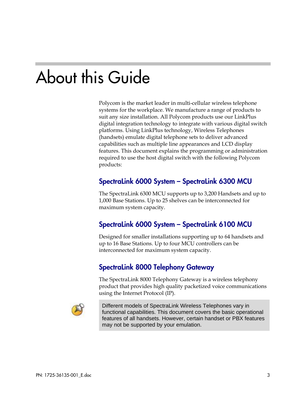# About this Guide

Polycom is the market leader in multi-cellular wireless telephone systems for the workplace. We manufacture a range of products to suit any size installation. All Polycom products use our LinkPlus digital integration technology to integrate with various digital switch platforms. Using LinkPlus technology, Wireless Telephones (handsets) emulate digital telephone sets to deliver advanced capabilities such as multiple line appearances and LCD display features. This document explains the programming or administration required to use the host digital switch with the following Polycom products:

### SpectraLink 6000 System – SpectraLink 6300 MCU

The SpectraLink 6300 MCU supports up to 3,200 Handsets and up to 1,000 Base Stations. Up to 25 shelves can be interconnected for maximum system capacity.

### SpectraLink 6000 System – SpectraLink 6100 MCU

Designed for smaller installations supporting up to 64 handsets and up to 16 Base Stations. Up to four MCU controllers can be interconnected for maximum system capacity.

### SpectraLink 8000 Telephony Gateway

The SpectraLink 8000 Telephony Gateway is a wireless telephony product that provides high quality packetized voice communications using the Internet Protocol (IP).



Different models of SpectraLink Wireless Telephones vary in functional capabilities. This document covers the basic operational features of all handsets. However, certain handset or PBX features may not be supported by your emulation.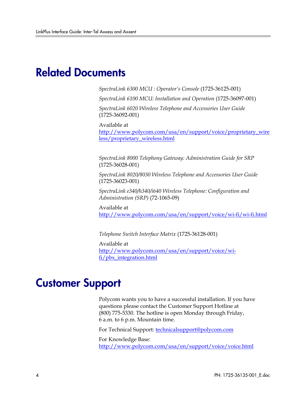## Related Documents

*SpectraLink 6300 MCU : Operator's Console* (1725-36125-001)

*SpectraLink 6100 MCU: Installation and Operation* (1725-36097-001)

*SpectraLink 6020 Wireless Telephone and Accessories User Guide*  (1725-36092-001)

Available at

[http://www.polycom.com/usa/en/support/voice/proprietary\\_wire](http://www.polycom.com/usa/en/support/voice/proprietary_wireless/proprietary_wireless.html) [less/proprietary\\_wireless.html](http://www.polycom.com/usa/en/support/voice/proprietary_wireless/proprietary_wireless.html)

*SpectraLink 8000 Telephony Gateway: Administration Guide for SRP*  (1725-36028-001)

*SpectraLink 8020/8030 Wireless Telephone and Accessories User Guide*  (1725-36023-001)

*SpectraLink e340/h340/i640 Wireless Telephone: Configuration and Administration (SRP)* (72-1065-09)

Available at <http://www.polycom.com/usa/en/support/voice/wi-fi/wi-fi.html>

*Telephone Switch Interface Matrix* (1725-36128-001)

Available at [http://www.polycom.com/usa/en/support/voice/wi](http://www.polycom.com/usa/en/support/voice/wi-fi/pbx_integration.html)[fi/pbx\\_integration.html](http://www.polycom.com/usa/en/support/voice/wi-fi/pbx_integration.html)

## Customer Support

Polycom wants you to have a successful installation. If you have questions please contact the Customer Support Hotline at (800) 775-5330. The hotline is open Monday through Friday, 6 a.m. to 6 p.m. Mountain time.

For Technical Support: [technicalsupport@polycom.com](mailto:technicalsupport@polycom.com)

For Knowledge Base: <http://www.polycom.com/usa/en/support/voice/voice.html>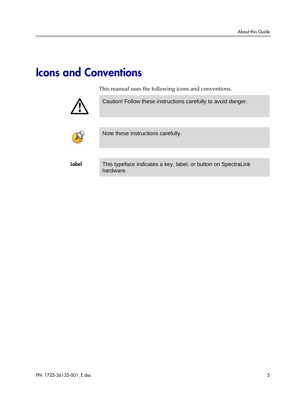# Icons and Conventions

This manual uses the following icons and conventions.



Caution! Follow these instructions carefully to avoid danger.



Note these instructions carefully.

Label This typeface indicates a key, label, or button on SpectraLink hardware.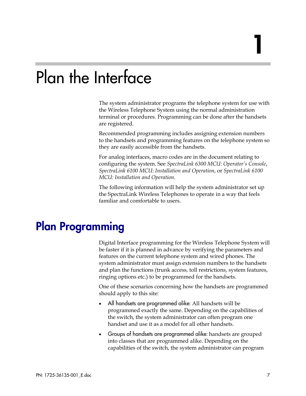# Plan the Interface

The system administrator programs the telephone system for use with the Wireless Telephone System using the normal administration terminal or procedures. Programming can be done after the handsets are registered.

Recommended programming includes assigning extension numbers to the handsets and programming features on the telephone system so they are easily accessible from the handsets.

For analog interfaces, macro codes are in the document relating to configuring the system. See *SpectraLink 6300 MCU: Operator's Console*, *SpectraLink 6100 MCU: Installation and Operation*, or *SpectraLink 6100 MCU: Installation and Operation*.

The following information will help the system administrator set up the SpectraLink Wireless Telephones to operate in a way that feels familiar and comfortable to users.

## Plan Programming

Digital Interface programming for the Wireless Telephone System will be faster if it is planned in advance by verifying the parameters and features on the current telephone system and wired phones. The system administrator must assign extension numbers to the handsets and plan the functions (trunk access, toll restrictions, system features, ringing options etc.) to be programmed for the handsets.

One of these scenarios concerning how the handsets are programmed should apply to this site:

- All handsets are programmed alike: All handsets will be programmed exactly the same. Depending on the capabilities of the switch, the system administrator can often program one handset and use it as a model for all other handsets.
- Groups of handsets are programmed alike: handsets are grouped into classes that are programmed alike. Depending on the capabilities of the switch, the system administrator can program

1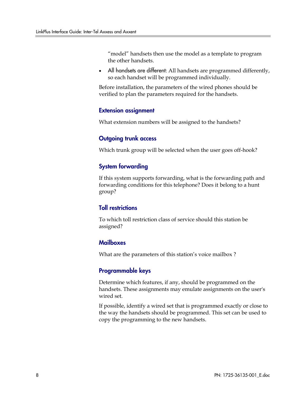"model" handsets then use the model as a template to program the other handsets.

All handsets are different: All handsets are programmed differently, so each handset will be programmed individually.

Before installation, the parameters of the wired phones should be verified to plan the parameters required for the handsets.

#### Extension assignment

What extension numbers will be assigned to the handsets?

#### Outgoing trunk access

Which trunk group will be selected when the user goes off-hook?

#### System forwarding

If this system supports forwarding, what is the forwarding path and forwarding conditions for this telephone? Does it belong to a hunt group?

#### Toll restrictions

To which toll restriction class of service should this station be assigned?

#### **Mailboxes**

What are the parameters of this station's voice mailbox ?

#### Programmable keys

Determine which features, if any, should be programmed on the handsets. These assignments may emulate assignments on the user's wired set.

If possible, identify a wired set that is programmed exactly or close to the way the handsets should be programmed. This set can be used to copy the programming to the new handsets.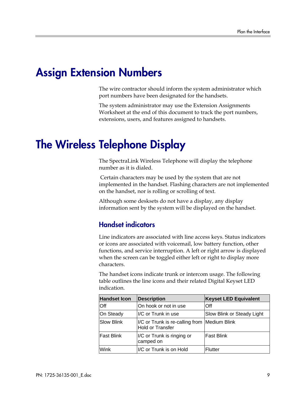## Assign Extension Numbers

The wire contractor should inform the system administrator which port numbers have been designated for the handsets.

The system administrator may use the Extension Assignments Worksheet at the end of this document to track the port numbers, extensions, users, and features assigned to handsets.

## The Wireless Telephone Display

The SpectraLink Wireless Telephone will display the telephone number as it is dialed.

 Certain characters may be used by the system that are not implemented in the handset. Flashing characters are not implemented on the handset, nor is rolling or scrolling of text.

Although some desksets do not have a display, any display information sent by the system will be displayed on the handset.

### Handset indicators

Line indicators are associated with line access keys. Status indicators or icons are associated with voicemail, low battery function, other functions, and service interruption. A left or right arrow is displayed when the screen can be toggled either left or right to display more characters.

The handset icons indicate trunk or intercom usage. The following table outlines the line icons and their related Digital Keyset LED indication.

| <b>Handset Icon</b> | <b>Description</b>                                                      | <b>Keyset LED Equivalent</b> |  |
|---------------------|-------------------------------------------------------------------------|------------------------------|--|
| Off                 | On hook or not in use                                                   | Off                          |  |
| On Steady           | II/C or Trunk in use                                                    | Slow Blink or Steady Light   |  |
| <b>Slow Blink</b>   | I/C or Trunk is re-calling from Medium Blink<br><b>Hold or Transfer</b> |                              |  |
| <b>Fast Blink</b>   | I/C or Trunk is ringing or<br>camped on                                 | <b>Fast Blink</b>            |  |
| <b>Wink</b>         | I/C or Trunk is on Hold                                                 | <b>Flutter</b>               |  |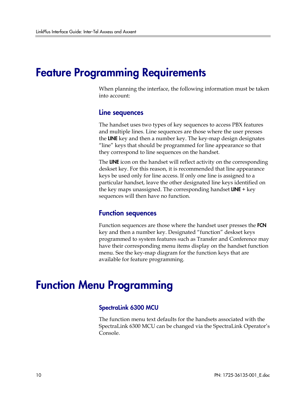## Feature Programming Requirements

When planning the interface, the following information must be taken into account:

#### Line sequences

The handset uses two types of key sequences to access PBX features and multiple lines. Line sequences are those where the user presses the LINE key and then a number key. The key-map design designates "line" keys that should be programmed for line appearance so that they correspond to line sequences on the handset.

The LINE icon on the handset will reflect activity on the corresponding deskset key. For this reason, it is recommended that line appearance keys be used only for line access. If only one line is assigned to a particular handset, leave the other designated line keys identified on the key maps unassigned. The corresponding handset  $LINE + key$ sequences will then have no function.

#### Function sequences

Function sequences are those where the handset user presses the FCN key and then a number key. Designated "function" deskset keys programmed to system features such as Transfer and Conference may have their corresponding menu items display on the handset function menu. See the key-map diagram for the function keys that are available for feature programming.

### Function Menu Programming

#### SpectraLink 6300 MCU

The function menu text defaults for the handsets associated with the SpectraLink 6300 MCU can be changed via the SpectraLink Operator's Console.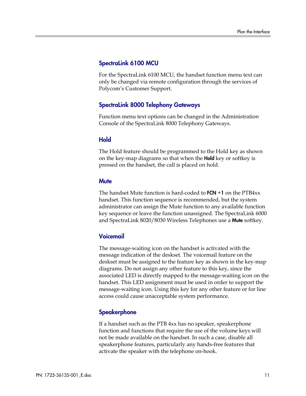#### SpectraLink 6100 MCU

For the SpectraLink 6100 MCU, the handset function menu text can only be changed via remote configuration through the services of Polycom's Customer Support.

#### SpectraLink 8000 Telephony Gateways

Function menu text options can be changed in the Administration Console of the SpectraLink 8000 Telephony Gateways.

#### Hold

The Hold feature should be programmed to the Hold key as shown on the key-map diagrams so that when the **Hold** key or softkey is pressed on the handset, the call is placed on hold.

#### **Mute**

The handset Mute function is hard-coded to  $FCN + 1$  on the  $PTB4xx$ handset. This function sequence is recommended, but the system administrator can assign the Mute function to any available function key sequence or leave the function unassigned. The SpectraLink 6000 and SpectraLink 8020/8030 Wireless Telephones use a Mute softkey.

#### Voicemail

The message-waiting icon on the handset is activated with the message indication of the deskset. The voicemail feature on the deskset must be assigned to the feature key as shown in the key-map diagrams. Do not assign any other feature to this key, since the associated LED is directly mapped to the message-waiting icon on the handset. This LED assignment must be used in order to support the message-waiting icon. Using this key for any other feature or for line access could cause unacceptable system performance.

#### **Speakerphone**

If a handset such as the PTB 4xx has no speaker, speakerphone function and functions that require the use of the volume keys will not be made available on the handset. In such a case, disable all speakerphone features, particularly any hands-free features that activate the speaker with the telephone on-hook.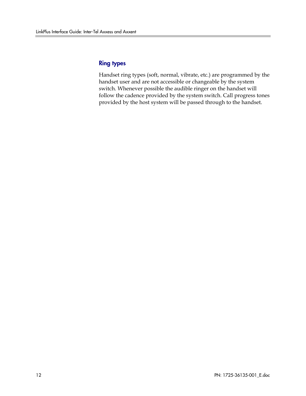#### Ring types

Handset ring types (soft, normal, vibrate, etc.) are programmed by the handset user and are not accessible or changeable by the system switch. Whenever possible the audible ringer on the handset will follow the cadence provided by the system switch. Call progress tones provided by the host system will be passed through to the handset.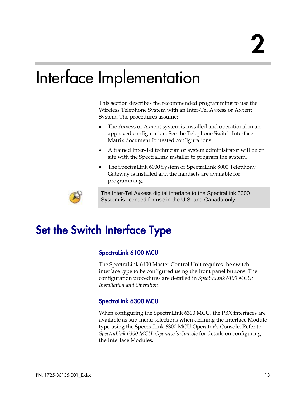# Interface Implementation

This section describes the recommended programming to use the Wireless Telephone System with an Inter-Tel Axxess or Axxent System. The procedures assume:

- The Axxess or Axxent system is installed and operational in an approved configuration. See the Telephone Switch Interface Matrix document for tested configurations.
- A trained Inter-Tel technician or system administrator will be on site with the SpectraLink installer to program the system.
- The SpectraLink 6000 System or SpectraLink 8000 Telephony Gateway is installed and the handsets are available for programming.



The Inter-Tel Axxess digital interface to the SpectraLink 6000 System is licensed for use in the U.S. and Canada only

# Set the Switch Interface Type

#### SpectraLink 6100 MCU

The SpectraLink 6100 Master Control Unit requires the switch interface type to be configured using the front panel buttons. The configuration procedures are detailed in *SpectraLink 6100 MCU: Installation and Operation*.

### SpectraLink 6300 MCU

When configuring the SpectraLink 6300 MCU, the PBX interfaces are available as sub-menu selections when defining the Interface Module type using the SpectraLink 6300 MCU Operator's Console. Refer to *SpectraLink 6300 MCU: Operator's Console* for details on configuring the Interface Modules.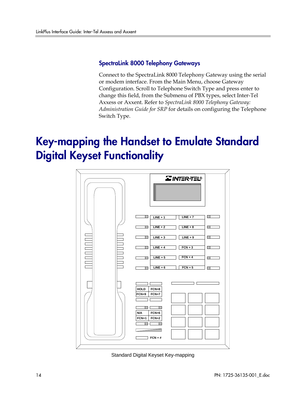#### SpectraLink 8000 Telephony Gateways

Connect to the SpectraLink 8000 Telephony Gateway using the serial or modem interface. From the Main Menu, choose Gateway Configuration. Scroll to Telephone Switch Type and press enter to change this field, from the Submenu of PBX types, select Inter-Tel Axxess or Axxent. Refer to *SpectraLink 8000 Telephony Gateway: Administration Guide for SRP* for details on configuring the Telephone Switch Type.

# Key-mapping the Handset to Emulate Standard Digital Keyset Functionality



Standard Digital Keyset Key-mapping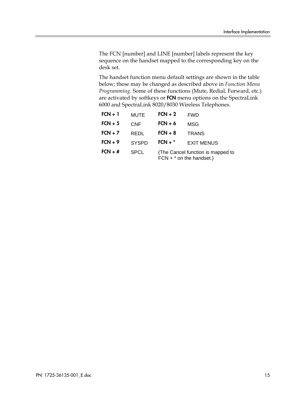The FCN [number] and LINE [number] labels represent the key sequence on the handset mapped to the corresponding key on the desk set.

The handset function menu default settings are shown in the table below; these may be changed as described above in *Function Menu Programming*. Some of these functions (Mute, Redial, Forward, etc.) are activated by softkeys or FCN menu options on the SpectraLink 6000 and SpectraLink 8020/8030 Wireless Telephones.

| $FCN + 1$ | <b>MUTE</b>  | $FCN + 2$                                                       | <b>FWD</b>        |  |
|-----------|--------------|-----------------------------------------------------------------|-------------------|--|
| $FCN + 5$ | <b>CNF</b>   | $FCN + 6$                                                       | MSG               |  |
| $FCN + 7$ | REDL         | $FCN + 8$                                                       | <b>TRANS</b>      |  |
| $FCN + 9$ | <b>SYSPD</b> | $FCN +$ *                                                       | <b>EXIT MENUS</b> |  |
| $FCN + #$ | <b>SPCL</b>  | (The Cancel function is mapped to<br>$FCN + *$ on the handset.) |                   |  |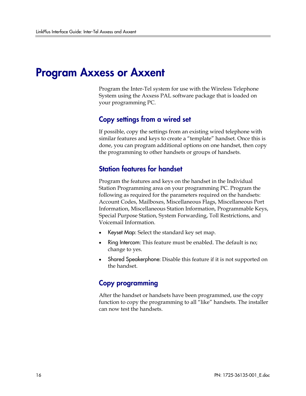### Program Axxess or Axxent

Program the Inter-Tel system for use with the Wireless Telephone System using the Axxess PAL software package that is loaded on your programming PC.

### Copy settings from a wired set

If possible, copy the settings from an existing wired telephone with similar features and keys to create a "template" handset. Once this is done, you can program additional options on one handset, then copy the programming to other handsets or groups of handsets.

### Station features for handset

Program the features and keys on the handset in the Individual Station Programming area on your programming PC. Program the following as required for the parameters required on the handsets: Account Codes, Mailboxes, Miscellaneous Flags, Miscellaneous Port Information, Miscellaneous Station Information, Programmable Keys, Special Purpose Station, System Forwarding, Toll Restrictions, and Voicemail Information.

- Keyset Map: Select the standard key set map.
- Ring Intercom: This feature must be enabled. The default is no; change to yes.
- Shared Speakerphone: Disable this feature if it is not supported on the handset.

### Copy programming

After the handset or handsets have been programmed, use the copy function to copy the programming to all "like" handsets. The installer can now test the handsets.